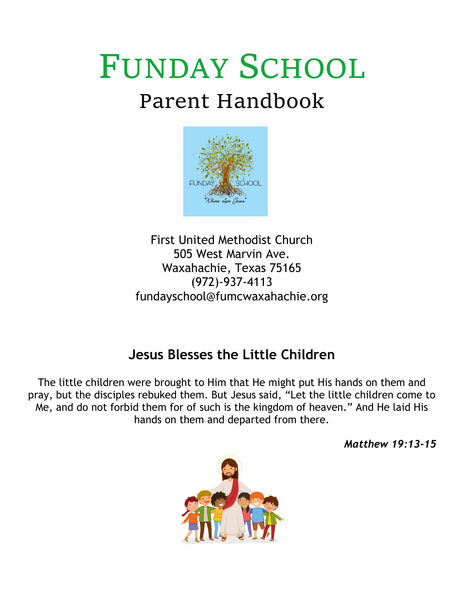# FUNDAY SCHOOL Parent Handbook



First United Methodist Church 505 West Marvin Ave. Waxahachie, Texas 75165 (972)-937-4113 [fundayschool@fumcwaxahachie.org](mailto:fundayschool@fumcwaxahachie.org)

# **Jesus Blesses the Little Children**

The little children were brought to Him that He might put His hands on them and pray, but the disciples rebuked them. But Jesus said, "Let the little children come to Me, and do not forbid them for of such is the kingdom of heaven." And He laid His hands on them and departed from there.

*Matthew 19:13-15*

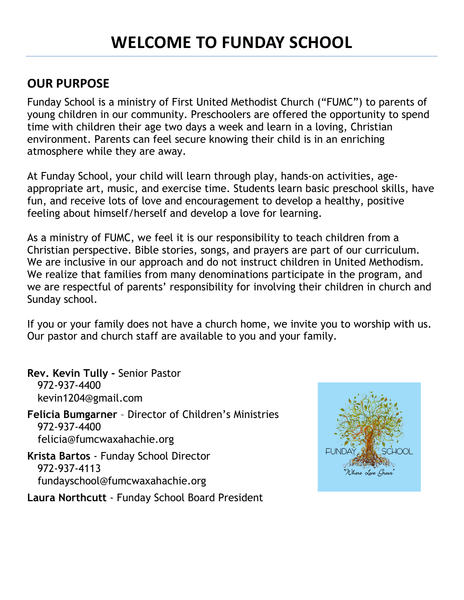#### **OUR PURPOSE**

Funday School is a ministry of First United Methodist Church ("FUMC") to parents of young children in our community. Preschoolers are offered the opportunity to spend time with children their age two days a week and learn in a loving, Christian environment. Parents can feel secure knowing their child is in an enriching atmosphere while they are away.

At Funday School, your child will learn through play, hands-on activities, ageappropriate art, music, and exercise time. Students learn basic preschool skills, have fun, and receive lots of love and encouragement to develop a healthy, positive feeling about himself/herself and develop a love for learning.

As a ministry of FUMC, we feel it is our responsibility to teach children from a Christian perspective. Bible stories, songs, and prayers are part of our curriculum. We are inclusive in our approach and do not instruct children in United Methodism. We realize that families from many denominations participate in the program, and we are respectful of parents' responsibility for involving their children in church and Sunday school.

If you or your family does not have a church home, we invite you to worship with us. Our pastor and church staff are available to you and your family.

**Rev. Kevin Tully -** Senior Pastor 972-937-4400 kevin1204@gmail.com **Felicia Bumgarner** – Director of Children's Ministries 972-937-4400 felicia@fumcwaxahachie.org **Krista Bartos** - Funday School Director 972-937-4113 fundayschool@fumcwaxahachie.org



**Laura Northcutt** - Funday School Board President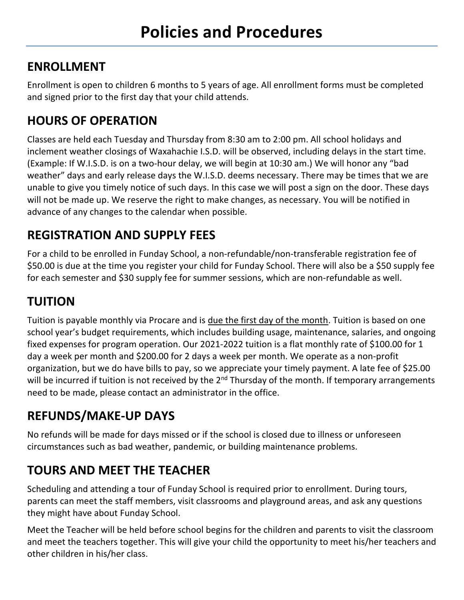### **ENROLLMENT**

Enrollment is open to children 6 months to 5 years of age. All enrollment forms must be completed and signed prior to the first day that your child attends.

# **HOURS OF OPERATION**

Classes are held each Tuesday and Thursday from 8:30 am to 2:00 pm. All school holidays and inclement weather closings of Waxahachie I.S.D. will be observed, including delays in the start time. (Example: If W.I.S.D. is on a two-hour delay, we will begin at 10:30 am.) We will honor any "bad weather" days and early release days the W.I.S.D. deems necessary. There may be times that we are unable to give you timely notice of such days. In this case we will post a sign on the door. These days will not be made up. We reserve the right to make changes, as necessary. You will be notified in advance of any changes to the calendar when possible.

# **REGISTRATION AND SUPPLY FEES**

For a child to be enrolled in Funday School, a non-refundable/non-transferable registration fee of \$50.00 is due at the time you register your child for Funday School. There will also be a \$50 supply fee for each semester and \$30 supply fee for summer sessions, which are non-refundable as well.

# **TUITION**

Tuition is payable monthly via Procare and is due the first day of the month. Tuition is based on one school year's budget requirements, which includes building usage, maintenance, salaries, and ongoing fixed expenses for program operation. Our 2021-2022 tuition is a flat monthly rate of \$100.00 for 1 day a week per month and \$200.00 for 2 days a week per month. We operate as a non-profit organization, but we do have bills to pay, so we appreciate your timely payment. A late fee of \$25.00 will be incurred if tuition is not received by the  $2<sup>nd</sup>$  Thursday of the month. If temporary arrangements need to be made, please contact an administrator in the office.

# **REFUNDS/MAKE-UP DAYS**

No refunds will be made for days missed or if the school is closed due to illness or unforeseen circumstances such as bad weather, pandemic, or building maintenance problems.

# **TOURS AND MEET THE TEACHER**

Scheduling and attending a tour of Funday School is required prior to enrollment. During tours, parents can meet the staff members, visit classrooms and playground areas, and ask any questions they might have about Funday School.

Meet the Teacher will be held before school begins for the children and parents to visit the classroom and meet the teachers together. This will give your child the opportunity to meet his/her teachers and other children in his/her class.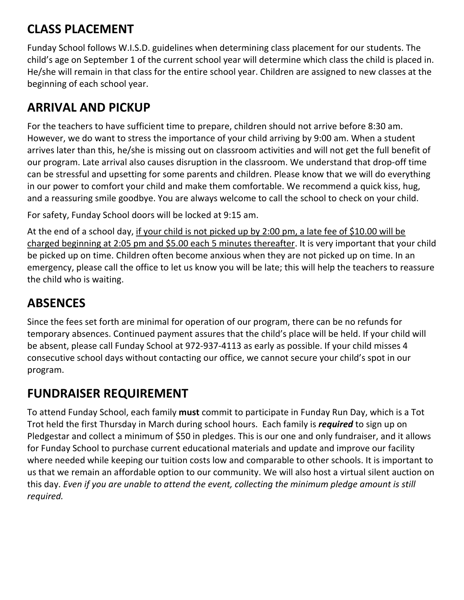# **CLASS PLACEMENT**

Funday School follows W.I.S.D. guidelines when determining class placement for our students. The child's age on September 1 of the current school year will determine which class the child is placed in. He/she will remain in that class for the entire school year. Children are assigned to new classes at the beginning of each school year.

### **ARRIVAL AND PICKUP**

For the teachers to have sufficient time to prepare, children should not arrive before 8:30 am. However, we do want to stress the importance of your child arriving by 9:00 am. When a student arrives later than this, he/she is missing out on classroom activities and will not get the full benefit of our program. Late arrival also causes disruption in the classroom. We understand that drop-off time can be stressful and upsetting for some parents and children. Please know that we will do everything in our power to comfort your child and make them comfortable. We recommend a quick kiss, hug, and a reassuring smile goodbye. You are always welcome to call the school to check on your child.

For safety, Funday School doors will be locked at 9:15 am.

At the end of a school day, if your child is not picked up by 2:00 pm, a late fee of \$10.00 will be charged beginning at 2:05 pm and \$5.00 each 5 minutes thereafter. It is very important that your child be picked up on time. Children often become anxious when they are not picked up on time. In an emergency, please call the office to let us know you will be late; this will help the teachers to reassure the child who is waiting.

# **ABSENCES**

Since the fees set forth are minimal for operation of our program, there can be no refunds for temporary absences. Continued payment assures that the child's place will be held. If your child will be absent, please call Funday School at 972-937-4113 as early as possible. If your child misses 4 consecutive school days without contacting our office, we cannot secure your child's spot in our program.

# **FUNDRAISER REQUIREMENT**

To attend Funday School, each family **must** commit to participate in Funday Run Day, which is a Tot Trot held the first Thursday in March during school hours. Each family is *required* to sign up on Pledgestar and collect a minimum of \$50 in pledges. This is our one and only fundraiser, and it allows for Funday School to purchase current educational materials and update and improve our facility where needed while keeping our tuition costs low and comparable to other schools. It is important to us that we remain an affordable option to our community. We will also host a virtual silent auction on this day. *Even if you are unable to attend the event, collecting the minimum pledge amount is still required.*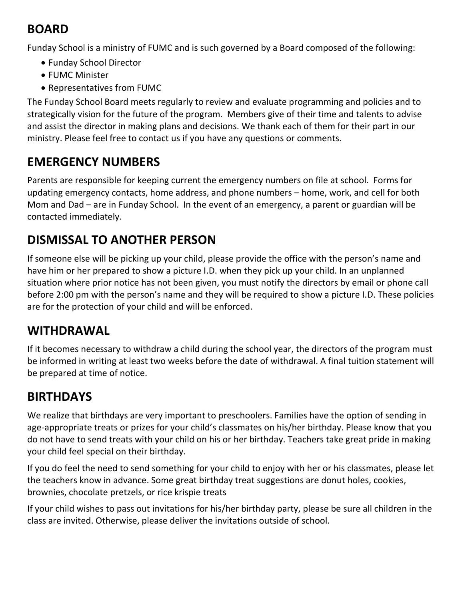# **BOARD**

Funday School is a ministry of FUMC and is such governed by a Board composed of the following:

- Funday School Director
- FUMC Minister
- Representatives from FUMC

The Funday School Board meets regularly to review and evaluate programming and policies and to strategically vision for the future of the program. Members give of their time and talents to advise and assist the director in making plans and decisions. We thank each of them for their part in our ministry. Please feel free to contact us if you have any questions or comments.

# **EMERGENCY NUMBERS**

Parents are responsible for keeping current the emergency numbers on file at school. Forms for updating emergency contacts, home address, and phone numbers – home, work, and cell for both Mom and Dad – are in Funday School. In the event of an emergency, a parent or guardian will be contacted immediately.

# **DISMISSAL TO ANOTHER PERSON**

If someone else will be picking up your child, please provide the office with the person's name and have him or her prepared to show a picture I.D. when they pick up your child. In an unplanned situation where prior notice has not been given, you must notify the directors by email or phone call before 2:00 pm with the person's name and they will be required to show a picture I.D. These policies are for the protection of your child and will be enforced.

# **WITHDRAWAL**

If it becomes necessary to withdraw a child during the school year, the directors of the program must be informed in writing at least two weeks before the date of withdrawal. A final tuition statement will be prepared at time of notice.

# **BIRTHDAYS**

We realize that birthdays are very important to preschoolers. Families have the option of sending in age-appropriate treats or prizes for your child's classmates on his/her birthday. Please know that you do not have to send treats with your child on his or her birthday. Teachers take great pride in making your child feel special on their birthday.

If you do feel the need to send something for your child to enjoy with her or his classmates, please let the teachers know in advance. Some great birthday treat suggestions are donut holes, cookies, brownies, chocolate pretzels, or rice krispie treats

If your child wishes to pass out invitations for his/her birthday party, please be sure all children in the class are invited. Otherwise, please deliver the invitations outside of school.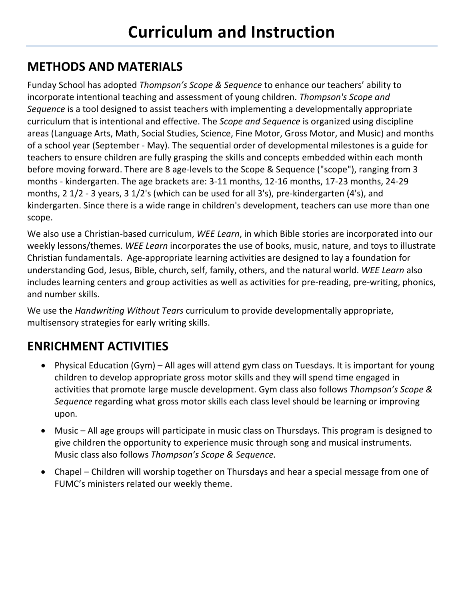# **METHODS AND MATERIALS**

Funday School has adopted *Thompson's Scope & Sequence* to enhance our teachers' ability to incorporate intentional teaching and assessment of young children. *Thompson's Scope and Sequence* is a tool designed to assist teachers with implementing a developmentally appropriate curriculum that is intentional and effective. The *Scope and Sequence* is organized using discipline areas (Language Arts, Math, Social Studies, Science, Fine Motor, Gross Motor, and Music) and months of a school year (September - May). The sequential order of developmental milestones is a guide for teachers to ensure children are fully grasping the skills and concepts embedded within each month before moving forward. There are 8 age-levels to the Scope & Sequence ("scope"), ranging from 3 months - kindergarten. The age brackets are: 3-11 months, 12-16 months, 17-23 months, 24-29 months, 2 1/2 - 3 years, 3 1/2's (which can be used for all 3's), pre-kindergarten (4's), and kindergarten. Since there is a wide range in children's development, teachers can use more than one scope.

We also use a Christian-based curriculum, *WEE Learn*, in which Bible stories are incorporated into our weekly lessons/themes. *WEE Learn* incorporates the use of books, music, nature, and toys to illustrate Christian fundamentals. Age-appropriate learning activities are designed to lay a foundation for understanding God, Jesus, Bible, church, self, family, others, and the natural world. *WEE Learn* also includes learning centers and group activities as well as activities for pre-reading, pre-writing, phonics, and number skills.

We use the *Handwriting Without Tears* curriculum to provide developmentally appropriate, multisensory strategies for early writing skills.

# **ENRICHMENT ACTIVITIES**

- Physical Education (Gym) All ages will attend gym class on Tuesdays. It is important for young children to develop appropriate gross motor skills and they will spend time engaged in activities that promote large muscle development. Gym class also follows *Thompson's Scope & Sequence* regarding what gross motor skills each class level should be learning or improving upon*.*
- Music All age groups will participate in music class on Thursdays. This program is designed to give children the opportunity to experience music through song and musical instruments. Music class also follows *Thompson's Scope & Sequence.*
- Chapel Children will worship together on Thursdays and hear a special message from one of FUMC's ministers related our weekly theme.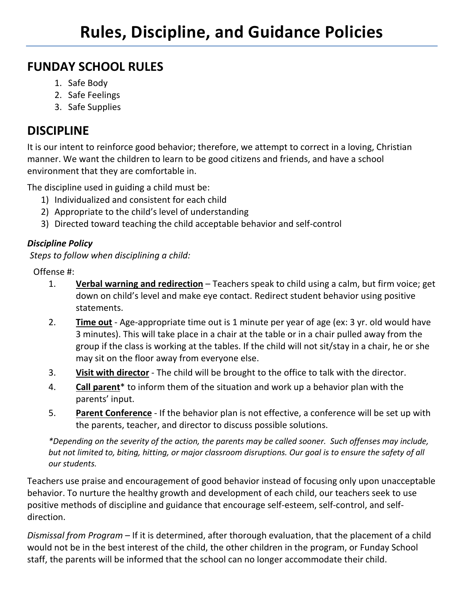#### **FUNDAY SCHOOL RULES**

- 1. Safe Body
- 2. Safe Feelings
- 3. Safe Supplies

#### **DISCIPLINE**

It is our intent to reinforce good behavior; therefore, we attempt to correct in a loving, Christian manner. We want the children to learn to be good citizens and friends, and have a school environment that they are comfortable in.

The discipline used in guiding a child must be:

- 1) Individualized and consistent for each child
- 2) Appropriate to the child's level of understanding
- 3) Directed toward teaching the child acceptable behavior and self-control

#### *Discipline Policy*

*Steps to follow when disciplining a child:*

Offense #:

- 1. **Verbal warning and redirection** Teachers speak to child using a calm, but firm voice; get down on child's level and make eye contact. Redirect student behavior using positive statements.
- 2. **Time out** Age-appropriate time out is 1 minute per year of age (ex: 3 yr. old would have 3 minutes). This will take place in a chair at the table or in a chair pulled away from the group if the class is working at the tables. If the child will not sit/stay in a chair, he or she may sit on the floor away from everyone else.
- 3. **Visit with director** The child will be brought to the office to talk with the director.
- 4. **Call parent**\* to inform them of the situation and work up a behavior plan with the parents' input.
- 5. **Parent Conference** If the behavior plan is not effective, a conference will be set up with the parents, teacher, and director to discuss possible solutions.

*\*Depending on the severity of the action, the parents may be called sooner. Such offenses may include, but not limited to, biting, hitting, or major classroom disruptions. Our goal is to ensure the safety of all our students.* 

Teachers use praise and encouragement of good behavior instead of focusing only upon unacceptable behavior. To nurture the healthy growth and development of each child, our teachers seek to use positive methods of discipline and guidance that encourage self-esteem, self-control, and selfdirection.

*Dismissal from Program –* If it is determined, after thorough evaluation, that the placement of a child would not be in the best interest of the child, the other children in the program, or Funday School staff, the parents will be informed that the school can no longer accommodate their child.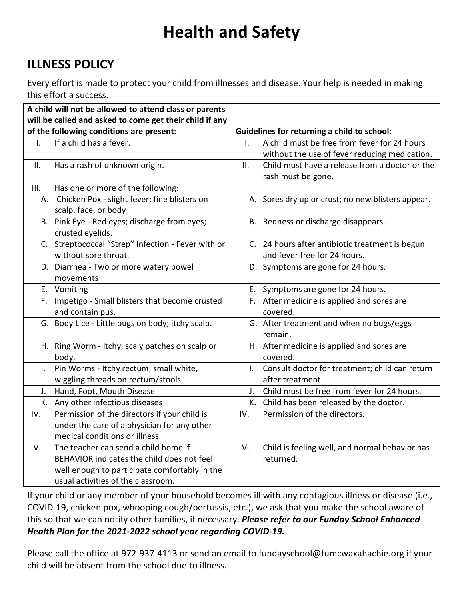#### **ILLNESS POLICY**

Every effort is made to protect your child from illnesses and disease. Your help is needed in making this effort a success.

|              | A child will not be allowed to attend class or parents<br>will be called and asked to come get their child if any |                                                    |                                                   |  |  |  |  |  |  |
|--------------|-------------------------------------------------------------------------------------------------------------------|----------------------------------------------------|---------------------------------------------------|--|--|--|--|--|--|
|              | of the following conditions are present:                                                                          | <b>Guidelines for returning a child to school:</b> |                                                   |  |  |  |  |  |  |
| I.           | If a child has a fever.                                                                                           | I.                                                 | A child must be free from fever for 24 hours      |  |  |  |  |  |  |
|              |                                                                                                                   |                                                    | without the use of fever reducing medication.     |  |  |  |  |  |  |
| Ш.           | Has a rash of unknown origin.                                                                                     | II.                                                | Child must have a release from a doctor or the    |  |  |  |  |  |  |
|              |                                                                                                                   |                                                    | rash must be gone.                                |  |  |  |  |  |  |
| III.         | Has one or more of the following:                                                                                 |                                                    |                                                   |  |  |  |  |  |  |
|              | A. Chicken Pox - slight fever; fine blisters on                                                                   |                                                    | A. Sores dry up or crust; no new blisters appear. |  |  |  |  |  |  |
|              | scalp, face, or body                                                                                              |                                                    |                                                   |  |  |  |  |  |  |
|              | B. Pink Eye - Red eyes; discharge from eyes;                                                                      |                                                    | B. Redness or discharge disappears.               |  |  |  |  |  |  |
|              | crusted eyelids.                                                                                                  |                                                    |                                                   |  |  |  |  |  |  |
|              | C. Streptococcal "Strep" Infection - Fever with or                                                                |                                                    | C. 24 hours after antibiotic treatment is begun   |  |  |  |  |  |  |
|              | without sore throat.                                                                                              |                                                    | and fever free for 24 hours.                      |  |  |  |  |  |  |
|              | D. Diarrhea - Two or more watery bowel                                                                            |                                                    | D. Symptoms are gone for 24 hours.                |  |  |  |  |  |  |
|              | movements                                                                                                         |                                                    |                                                   |  |  |  |  |  |  |
|              | E. Vomiting                                                                                                       |                                                    | E. Symptoms are gone for 24 hours.                |  |  |  |  |  |  |
|              | F. Impetigo - Small blisters that become crusted                                                                  |                                                    | F. After medicine is applied and sores are        |  |  |  |  |  |  |
|              | and contain pus.                                                                                                  |                                                    | covered.                                          |  |  |  |  |  |  |
|              | G. Body Lice - Little bugs on body; itchy scalp.                                                                  |                                                    | G. After treatment and when no bugs/eggs          |  |  |  |  |  |  |
|              |                                                                                                                   |                                                    | remain.                                           |  |  |  |  |  |  |
|              | H. Ring Worm - Itchy, scaly patches on scalp or                                                                   |                                                    | H. After medicine is applied and sores are        |  |  |  |  |  |  |
|              | body.                                                                                                             |                                                    | covered.                                          |  |  |  |  |  |  |
| $\mathsf{L}$ | Pin Worms - Itchy rectum; small white,                                                                            | $\mathbf{L}$                                       | Consult doctor for treatment; child can return    |  |  |  |  |  |  |
|              | wiggling threads on rectum/stools.                                                                                |                                                    | after treatment                                   |  |  |  |  |  |  |
| J.           | Hand, Foot, Mouth Disease                                                                                         | $J_{\star}$                                        | Child must be free from fever for 24 hours.       |  |  |  |  |  |  |
|              | K. Any other infectious diseases                                                                                  | K.                                                 | Child has been released by the doctor.            |  |  |  |  |  |  |
| IV.          | Permission of the directors if your child is                                                                      | IV.                                                | Permission of the directors.                      |  |  |  |  |  |  |
|              | under the care of a physician for any other                                                                       |                                                    |                                                   |  |  |  |  |  |  |
|              | medical conditions or illness.                                                                                    |                                                    |                                                   |  |  |  |  |  |  |
| V.           | The teacher can send a child home if                                                                              | V.                                                 | Child is feeling well, and normal behavior has    |  |  |  |  |  |  |
|              | BEHAVIOR indicates the child does not feel                                                                        |                                                    | returned.                                         |  |  |  |  |  |  |
|              | well enough to participate comfortably in the                                                                     |                                                    |                                                   |  |  |  |  |  |  |
|              | usual activities of the classroom.                                                                                |                                                    |                                                   |  |  |  |  |  |  |

If your child or any member of your household becomes ill with any contagious illness or disease (i.e., COVID-19, chicken pox, whooping cough/pertussis, etc.), we ask that you make the school aware of this so that we can notify other families, if necessary. *Please refer to our Funday School Enhanced Health Plan for the 2021-2022 school year regarding COVID-19.*

Please call the office at 972-937-4113 or send an email to fundayschool@fumcwaxahachie.org if your child will be absent from the school due to illness.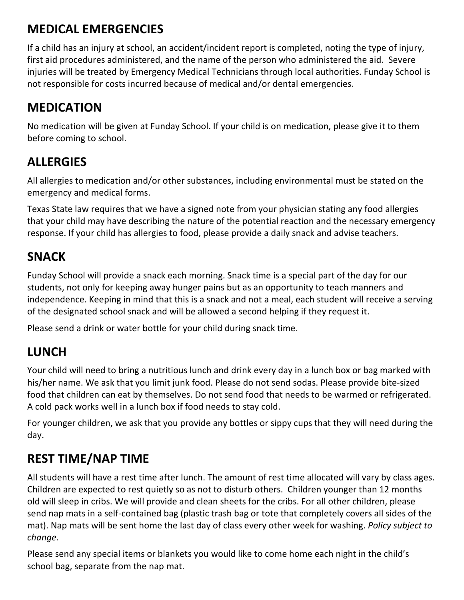# **MEDICAL EMERGENCIES**

If a child has an injury at school, an accident/incident report is completed, noting the type of injury, first aid procedures administered, and the name of the person who administered the aid. Severe injuries will be treated by Emergency Medical Technicians through local authorities. Funday School is not responsible for costs incurred because of medical and/or dental emergencies.

#### **MEDICATION**

No medication will be given at Funday School. If your child is on medication, please give it to them before coming to school.

### **ALLERGIES**

All allergies to medication and/or other substances, including environmental must be stated on the emergency and medical forms.

Texas State law requires that we have a signed note from your physician stating any food allergies that your child may have describing the nature of the potential reaction and the necessary emergency response. If your child has allergies to food, please provide a daily snack and advise teachers.

#### **SNACK**

Funday School will provide a snack each morning. Snack time is a special part of the day for our students, not only for keeping away hunger pains but as an opportunity to teach manners and independence. Keeping in mind that this is a snack and not a meal, each student will receive a serving of the designated school snack and will be allowed a second helping if they request it.

Please send a drink or water bottle for your child during snack time.

# **LUNCH**

Your child will need to bring a nutritious lunch and drink every day in a lunch box or bag marked with his/her name. We ask that you limit junk food. Please do not send sodas. Please provide bite-sized food that children can eat by themselves. Do not send food that needs to be warmed or refrigerated. A cold pack works well in a lunch box if food needs to stay cold.

For younger children, we ask that you provide any bottles or sippy cups that they will need during the day.

# **REST TIME/NAP TIME**

All students will have a rest time after lunch. The amount of rest time allocated will vary by class ages. Children are expected to rest quietly so as not to disturb others. Children younger than 12 months old will sleep in cribs. We will provide and clean sheets for the cribs. For all other children, please send nap mats in a self-contained bag (plastic trash bag or tote that completely covers all sides of the mat). Nap mats will be sent home the last day of class every other week for washing. *Policy subject to change.*

Please send any special items or blankets you would like to come home each night in the child's school bag, separate from the nap mat.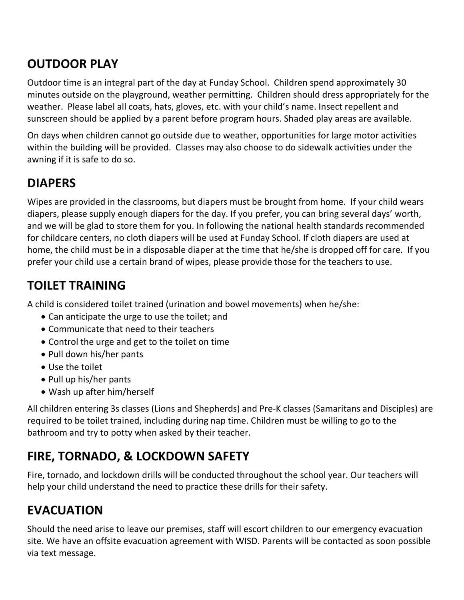# **OUTDOOR PLAY**

Outdoor time is an integral part of the day at Funday School. Children spend approximately 30 minutes outside on the playground, weather permitting. Children should dress appropriately for the weather. Please label all coats, hats, gloves, etc. with your child's name. Insect repellent and sunscreen should be applied by a parent before program hours. Shaded play areas are available.

On days when children cannot go outside due to weather, opportunities for large motor activities within the building will be provided. Classes may also choose to do sidewalk activities under the awning if it is safe to do so.

# **DIAPERS**

Wipes are provided in the classrooms, but diapers must be brought from home. If your child wears diapers, please supply enough diapers for the day. If you prefer, you can bring several days' worth, and we will be glad to store them for you. In following the national health standards recommended for childcare centers, no cloth diapers will be used at Funday School. If cloth diapers are used at home, the child must be in a disposable diaper at the time that he/she is dropped off for care. If you prefer your child use a certain brand of wipes, please provide those for the teachers to use.

### **TOILET TRAINING**

A child is considered toilet trained (urination and bowel movements) when he/she:

- Can anticipate the urge to use the toilet; and
- Communicate that need to their teachers
- Control the urge and get to the toilet on time
- Pull down his/her pants
- Use the toilet
- Pull up his/her pants
- Wash up after him/herself

All children entering 3s classes (Lions and Shepherds) and Pre-K classes (Samaritans and Disciples) are required to be toilet trained, including during nap time. Children must be willing to go to the bathroom and try to potty when asked by their teacher.

# **FIRE, TORNADO, & LOCKDOWN SAFETY**

Fire, tornado, and lockdown drills will be conducted throughout the school year. Our teachers will help your child understand the need to practice these drills for their safety.

# **EVACUATION**

Should the need arise to leave our premises, staff will escort children to our emergency evacuation site. We have an offsite evacuation agreement with WISD. Parents will be contacted as soon possible via text message.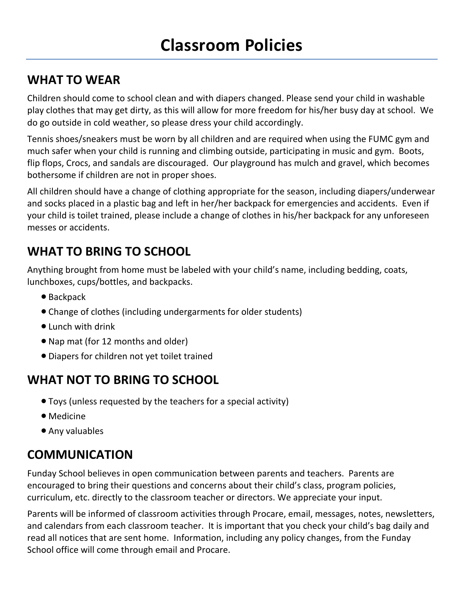#### **WHAT TO WEAR**

Children should come to school clean and with diapers changed. Please send your child in washable play clothes that may get dirty, as this will allow for more freedom for his/her busy day at school. We do go outside in cold weather, so please dress your child accordingly.

Tennis shoes/sneakers must be worn by all children and are required when using the FUMC gym and much safer when your child is running and climbing outside, participating in music and gym. Boots, flip flops, Crocs, and sandals are discouraged. Our playground has mulch and gravel, which becomes bothersome if children are not in proper shoes.

All children should have a change of clothing appropriate for the season, including diapers/underwear and socks placed in a plastic bag and left in her/her backpack for emergencies and accidents. Even if your child is toilet trained, please include a change of clothes in his/her backpack for any unforeseen messes or accidents.

### **WHAT TO BRING TO SCHOOL**

Anything brought from home must be labeled with your child's name, including bedding, coats, lunchboxes, cups/bottles, and backpacks.

- Backpack
- Change of clothes (including undergarments for older students)
- Lunch with drink
- Nap mat (for 12 months and older)
- Diapers for children not yet toilet trained

# **WHAT NOT TO BRING TO SCHOOL**

- Toys (unless requested by the teachers for a special activity)
- Medicine
- Any valuables

# **COMMUNICATION**

Funday School believes in open communication between parents and teachers. Parents are encouraged to bring their questions and concerns about their child's class, program policies, curriculum, etc. directly to the classroom teacher or directors. We appreciate your input.

Parents will be informed of classroom activities through Procare, email, messages, notes, newsletters, and calendars from each classroom teacher. It is important that you check your child's bag daily and read all notices that are sent home. Information, including any policy changes, from the Funday School office will come through email and Procare.